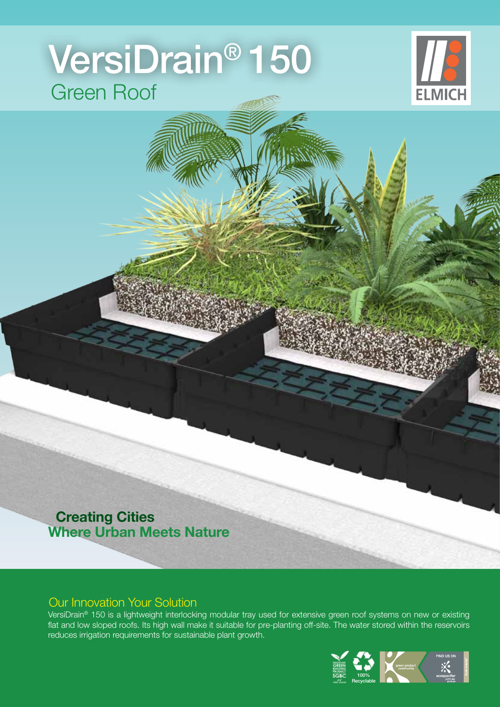# Green Roof VersiDrain® 150



## **Creating Cities Where Urban Meets Nature**

## Our Innovation Your Solution

VersiDrain® 150 is a lightweight interlocking modular tray used for extensive green roof systems on new or existing flat and low sloped roofs. Its high wall make it suitable for pre-planting off-site. The water stored within the reservoirs reduces irrigation requirements for sustainable plant growth.